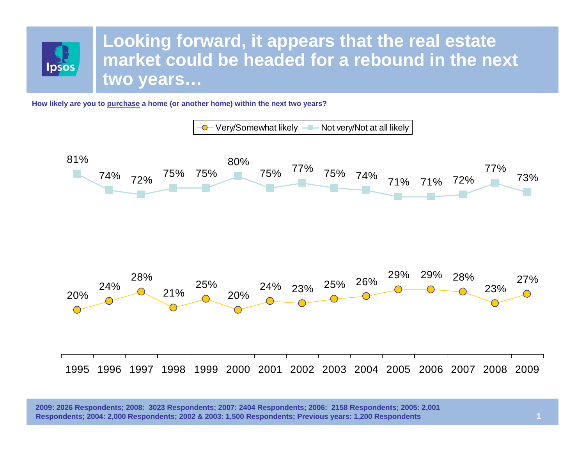## **Looking forward, it appears that the real estate market could be headed for a rebound in the next two years…**

**How likely are you to purchase a home (or another home) within the next two years?**



**2009: 2026 Respondents; 2008: 3023 Respondents; 2007: 2404 Respondents; 2006: 2158 Respondents; 2005: 2,001 Respondents; 2004: 2,000 Respondents; 2002 & 2003: 1,500 Respondents; Previous years: 1,200 Respondents**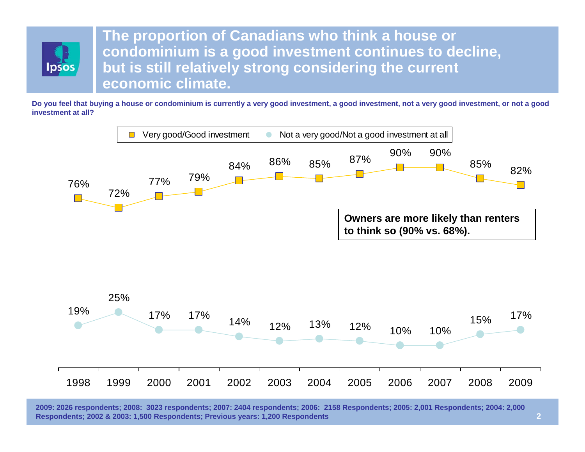

**The proportion of Canadians who think a house or condominium is a good investment continues to decline, but is still relatively strong considering the current economic climate.**

**Do you feel that buying a house or condominium is currently a very good investment, a good investment, not a very good investment, or not a good investment at all?**



**2009: 2026 respondents; 2008: 3023 respondents; 2007: 2404 respondents; 2006: 2158 Respondents; 2005: 2,001 Respondents; 2004: 2,000 Respondents; 2002 & 2003: 1,500 Respondents; Previous years: 1,200 Respondents**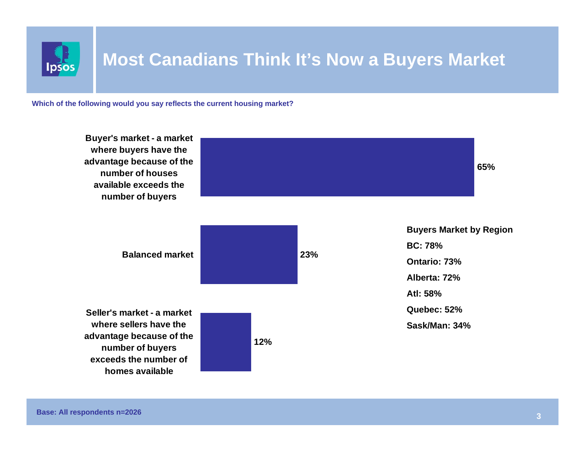

## **Most Canadians Think It's Now a Buyers Market**

**Which of the following would you say reflects the current housing market?**

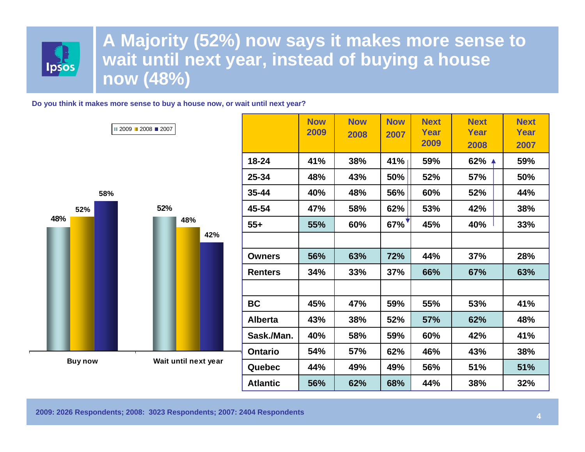

## **A Majority (52%) now says it makes more sense to wait until next year, instead of buying a house now (48%)**

**Do you think it makes more sense to buy a house now, or wait until next year?**

2009 ■ 2008 ■ 2007



|                 | <b>Now</b><br>2009 | <b>Now</b><br>2008 | <b>Now</b><br>2007 | <b>Next</b><br>Year<br>2009 | <b>Next</b><br>Year<br>2008 | <b>Next</b><br>Year<br>2007 |
|-----------------|--------------------|--------------------|--------------------|-----------------------------|-----------------------------|-----------------------------|
| 18-24           | 41%                | 38%                | 41%                | 59%                         | 62%                         | 59%                         |
| 25-34           | 48%                | 43%                | 50%                | 52%                         | 57%                         | 50%                         |
| 35-44           | 40%                | 48%                | 56%                | 60%                         | 52%                         | 44%                         |
| 45-54           | 47%                | 58%                | 62%                | 53%                         | 42%                         | 38%                         |
| $55+$           | 55%                | 60%                | 67%                | 45%                         | 40%                         | 33%                         |
|                 |                    |                    |                    |                             |                             |                             |
| <b>Owners</b>   | 56%                | 63%                | 72%                | 44%                         | <b>37%</b>                  | 28%                         |
| <b>Renters</b>  | 34%                | 33%                | 37%                | 66%                         | 67%                         | 63%                         |
|                 |                    |                    |                    |                             |                             |                             |
| <b>BC</b>       | 45%                | 47%                | 59%                | 55%                         | 53%                         | 41%                         |
| <b>Alberta</b>  | 43%                | 38%                | 52%                | 57%                         | 62%                         | 48%                         |
| Sask./Man.      | 40%                | 58%                | 59%                | 60%                         | 42%                         | 41%                         |
| <b>Ontario</b>  | 54%                | 57%                | 62%                | 46%                         | 43%                         | 38%                         |
| Quebec          | 44%                | 49%                | 49%                | 56%                         | 51%                         | 51%                         |
| <b>Atlantic</b> | 56%                | 62%                | 68%                | 44%                         | 38%                         | 32%                         |